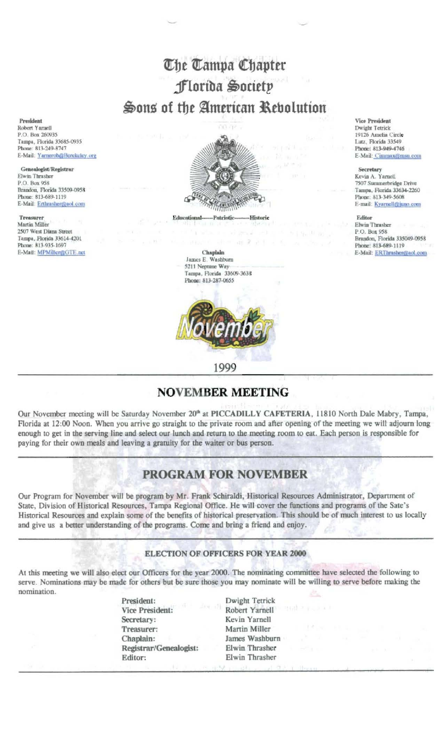# The Tampa Chapter Florida Society Sons of the American Rebolution

President Robert Yarnell P.O. Box 260935 Tampa, Florida 33685-0935 Phone: 813-249-8747 E-Mail: Yarnerob@Berekeley.org

Genealogist/Registrar Elwin Thrasher P.O. Box 958 Brandon, Florida 33509-0958 Phone: 813-689-1119 E-Mail: Erthrasher@aol.com

**Treasurer** Martin Miller 2507 West Diana Street Tampa, Florida 33614-4201 Phone: 813-935-1697 E-Mail: MPMiller@GTE.net



Educational Patrioti Historic





1999

**Vice President** Dwight Tetrick 19126 Amelia Circle Lutz, Florida 33549 Phone: 813-949-4746 E-Mail: Cimmax@msn.com

#### Secretary

Kevin A. Yarnell 7507 Summerbridge Drive Tampa, Florida 33634-2260 Phone: 813-349-5608 E-mail: Kyarnell@juno.com

Editor

Elwin Thrasher P.O. Box 958 Brandon, Florida 335049-0958 Phone: 813-689-1119 E-Mail: ERThrashen@aol.com

## **NOVEMBER MEETING**

Our November meeting will be Saturday November 20<sup>th</sup> at PICCADILLY CAFETERIA, 11810 North Dale Mabry, Tampa, Florida at 12:00 Noon. When you arrive go straight to the private room and after opening of the meeting we will adjourn long enough to get in the serving line and select our lunch and return to the meeting room to eat. Each person is responsible for paying for their own meals and leaving a gratuity for the waiter or bus person.

## **PROGRAM FOR NOVEMBER**

Our Program for November will be program by Mr. Frank Schiraldi, Historical Resources Administrator, Department of State, Division of Historical Resources, Tampa Regional Office. He will cover the functions and programs of the Sate's Historical Resources and explain some of the benefits of historical preservation. This should be of much interest to us locally and give us a better understanding of the programs. Come and bring a friend and enjoy.

### **ELECTION OF OFFICERS FOR YEAR 2000**

At this meeting we will also elect our Officers for the year 2000. The nominating committee have selected the following to serve. Nominations may be made for others but be sure those you may nominate will be willing to serve before making the nomination.

| President:                           | Dwight Tetrick |                                   |  |  |
|--------------------------------------|----------------|-----------------------------------|--|--|
| <b>CONTRACTOR</b><br>Vice President: | Robert Yarnell | 当时 スイッシュ人                         |  |  |
| Secretary:                           | Kevin Yarnell  |                                   |  |  |
| Treasurer:                           | Martin Miller  | The second con-                   |  |  |
| Chaplain:                            | James Washburn | <b>Contract Contract Contract</b> |  |  |
| Registrar/Genealogist:               | Elwin Thrasher | <b>CONTRACTOR</b>                 |  |  |
| Editor:                              | Elwin Thrasher |                                   |  |  |
|                                      |                |                                   |  |  |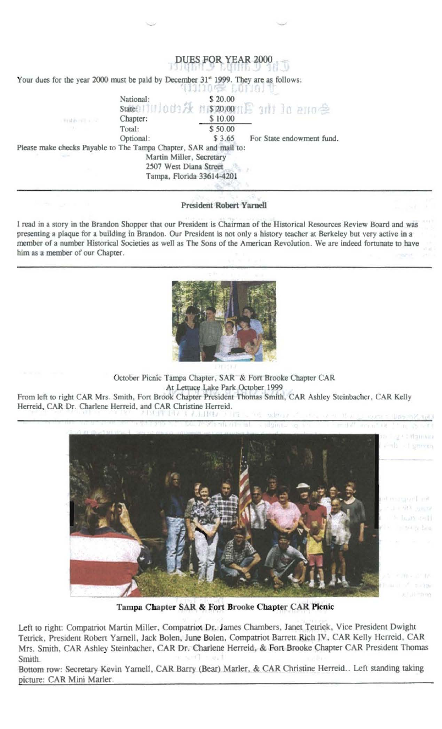|                                                                   |                                                    | DUES FOR YEAR 2000                                                                                             |
|-------------------------------------------------------------------|----------------------------------------------------|----------------------------------------------------------------------------------------------------------------|
|                                                                   |                                                    | Your dues for the year 2000 must be paid by December 31" 1999. They are as follows:<br><b>SCRIPTORS BOTTON</b> |
| Friday off a car                                                  | National:<br>Chapter:                              | \$ 20.00<br>State0111110d1次 ni\$20,0011月 3d1 10 a110全<br>\$10.00                                               |
|                                                                   | Total:<br>Optional:                                | \$50.00<br>For State endowment fund.<br>\$3.65                                                                 |
| Please make checks Payable to The Tampa Chapter, SAR and mail to: | Martin Miller, Secretary<br>2507 West Diana Street | Tampa, Florida 33614-4201                                                                                      |

**President Robert Yarnell** 

I read in a story in the Brandon Shopper that our President is Chairman of the Historical Resources Review Board and was presenting a plaque for a building in Brandon. Our President is not only a history teacher at Berkeley but very active in a member of a number Historical Societies as well as The Sons of the American Revolution. We are indeed fortunate to have him as a member of our Chapter.



October Picnic Tampa Chapter, SAR & Fort Brooke Chapter CAR At Lettuce Lake Park October 1999 From left to right CAR Mrs. Smith, Fort Brook Chapter President Thomas Smith, CAR Ashley Steinbacher, CAR Kelly Herreid, CAR Dr. Charlene Herreid, and CAR Christine Herreid.



Tampa Chapter SAR & Fort Brooke Chapter CAR Picnic

Left to right: Compatriot Martin Miller, Compatriot Dr. James Chambers, Janet Tetrick, Vice President Dwight Tetrick, President Robert Yarnell, Jack Bolen, June Bolen, Compatriot Barrett Rich IV, CAR Kelly Herreid, CAR Mrs. Smith, CAR Ashley Steinbacher, CAR Dr. Charlene Herreid, & Fort Brooke Chapter CAR President Thomas Smith.

Bottom row: Secretary Kevin Yarnell, CAR Barry (Bear) Marler, & CAR Christine Herreid. Left standing taking picture: CAR Mini Marler.